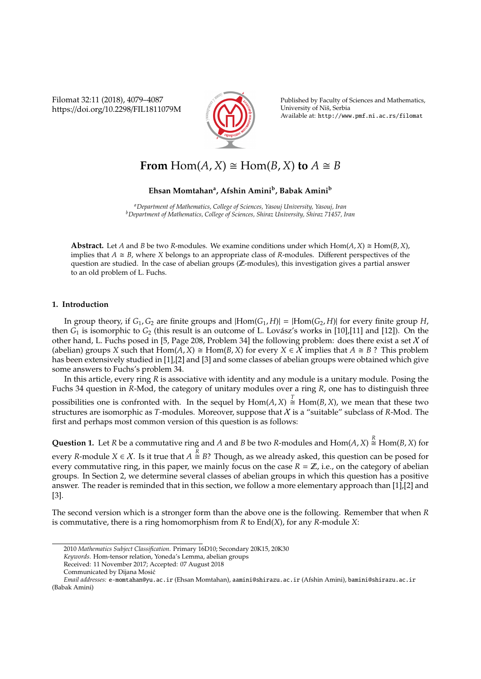Filomat 32:11 (2018), 4079–4087 https://doi.org/10.2298/FIL1811079M



Published by Faculty of Sciences and Mathematics, University of Niš, Serbia Available at: http://www.pmf.ni.ac.rs/filomat

# **From**  $\text{Hom}(A, X) \cong \text{Hom}(B, X)$  **to**  $A \cong B$

# **Ehsan Momtahan<sup>a</sup> , Afshin Amini<sup>b</sup> , Babak Amini<sup>b</sup>**

*<sup>a</sup>Department of Mathematics, College of Sciences, Yasouj University, Yasouj, Iran <sup>b</sup>Department of Mathematics, College of Sciences, Shiraz University, Shiraz 71457, Iran*

**Abstract.** Let *A* and *B* be two *R*-modules. We examine conditions under which  $Hom(A, X) \cong Hom(B, X)$ , implies that  $A \cong B$ , where *X* belongs to an appropriate class of *R*-modules. Different perspectives of the question are studied. In the case of abelian groups ( $\mathbb Z$ -modules), this investigation gives a partial answer to an old problem of L. Fuchs.

# **1. Introduction**

In group theory, if  $G_1$ ,  $G_2$  are finite groups and  $|Hom(G_1, H)| = |Hom(G_2, H)|$  for every finite group *H*, then  $G_1$  is isomorphic to  $G_2$  (this result is an outcome of L. Lovász's works in [10],[11] and [12]). On the other hand, L. Fuchs posed in [5, Page 208, Problem 34] the following problem: does there exist a set  $X$  of  $(\text{abelian})$  groups *X* such that  $\text{Hom}(A, X) \cong \text{Hom}(B, X)$  for every  $X \in \mathcal{X}$  implies that  $A \cong B$ ? This problem has been extensively studied in [1], [2] and [3] and some classes of abelian groups were obtained which give some answers to Fuchs's problem 34.

In this article, every ring *R* is associative with identity and any module is a unitary module. Posing the Fuchs 34 question in *R*-Mod, the category of unitary modules over a ring *R*, one has to distinguish three

possibilities one is confronted with. In the sequel by  $Hom(A, X) \cong Hom(B, X)$ , we mean that these two structures are isomorphic as *T*-modules. Moreover, suppose that X is a "suitable" subclass of *R*-Mod. The first and perhaps most common version of this question is as follows:

**Question 1.** Let *R* be a commutative ring and *A* and *B* be two *R*-modules and  $Hom(A, X) \stackrel{R}{\cong} Hom(B, X)$  for

every *R*-module  $X \in \mathcal{X}$ . Is it true that  $A \cong B$ ? Though, as we already asked, this question can be posed for every commutative ring, in this paper, we mainly focus on the case  $R = \mathbb{Z}$ , i.e., on the category of abelian groups. In Section 2, we determine several classes of abelian groups in which this question has a positive answer. The reader is reminded that in this section, we follow a more elementary approach than [1],[2] and [3].

The second version which is a stronger form than the above one is the following. Remember that when *R* is commutative, there is a ring homomorphism from *R* to End(*X*), for any *R*-module *X*:

<sup>2010</sup> *Mathematics Subject Classification*. Primary 16D10; Secondary 20K15, 20K30

*Keywords*. Hom-tensor relation, Yoneda's Lemma, abelian groups

Received: 11 November 2017; Accepted: 07 August 2018

Communicated by Dijana Mosic´

*Email addresses:* e-momtahan@yu.ac.ir (Ehsan Momtahan), aamini@shirazu.ac.ir (Afshin Amini), bamini@shirazu.ac.ir (Babak Amini)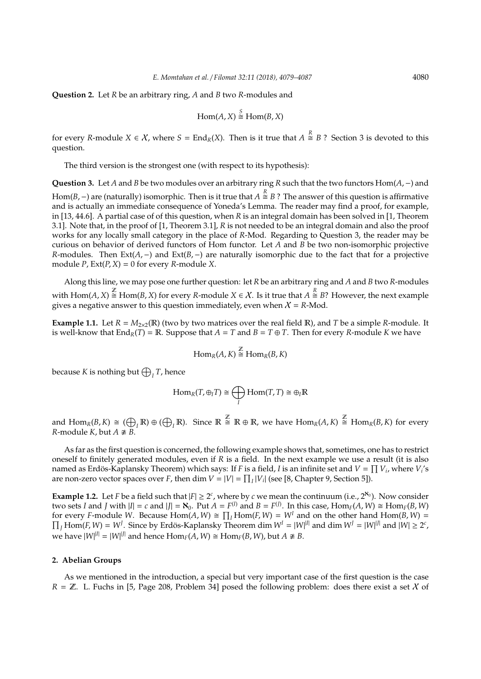**Question 2.** Let *R* be an arbitrary ring, *A* and *B* two *R*-modules and

$$
Hom(A, X) \stackrel{S}{\cong} Hom(B, X)
$$

for every *R*-module *X* ∈ *X*, where *S* = End<sub>*R*</sub>(*X*). Then is it true that *A*  $\stackrel{R}{=}$  *B* ? Section 3 is devoted to this question.

The third version is the strongest one (with respect to its hypothesis):

**Question 3.** Let *A* and *B* be two modules over an arbitrary ring *R* such that the two functors Hom(*A*,−) and Hom(*B*,−) are (naturally) isomorphic. Then is it true that *A R B* ? The answer of this question is affirmative and is actually an immediate consequence of Yoneda's Lemma. The reader may find a proof, for example, in [13, 44.6]. A partial case of of this question, when *R* is an integral domain has been solved in [1, Theorem 3.1]. Note that, in the proof of [1, Theorem 3.1], *R* is not needed to be an integral domain and also the proof works for any locally small category in the place of *R*-Mod. Regarding to Question 3, the reader may be curious on behavior of derived functors of Hom functor. Let *A* and *B* be two non-isomorphic projective *R*-modules. Then Ext(*A*,−) and Ext(*B*,−) are naturally isomorphic due to the fact that for a projective module *P*,  $Ext(P, X) = 0$  for every *R*-module *X*.

Along this line, we may pose one further question: let *R* be an arbitrary ring and *A* and *B* two *R*-modules with  $\text{Hom}(A, X) \stackrel{\mathbb{Z}}{\cong} \text{Hom}(B, X)$  for every *R*-module  $X \in \mathcal{X}$ . Is it true that  $A \stackrel{R}{\cong} B$ ? However, the next example gives a negative answer to this question immediately, even when  $X = R$ -Mod.

**Example 1.1.** Let  $R = M_{2\times2}(\mathbb{R})$  (two by two matrices over the real field  $\mathbb{R}$ ), and *T* be a simple *R*-module. It is well-know that  $\text{End}_R(T) = \mathbb{R}$ . Suppose that  $A = T$  and  $B = T \oplus T$ . Then for every *R*-module *K* we have

$$
\mathrm{Hom}_R(A,K)\stackrel{\mathbb{Z}}{\cong}\mathrm{Hom}_R(B,K)
$$

because  $K$  is nothing but  $\bigoplus_I T$ , hence

$$
\operatorname{Hom}_R(T,\oplus_I T) \cong \bigoplus_I \operatorname{Hom}(T,T) \cong \oplus_I \mathbb{R}
$$

and  $\text{Hom}_R(B, K) \cong (\bigoplus_I \mathbb{R}) \oplus (\bigoplus_I \mathbb{R})$ . Since  $\mathbb{R} \stackrel{\mathbb{Z}}{\cong} \mathbb{R} \oplus \mathbb{R}$ , we have  $\text{Hom}_R(A, K) \stackrel{\mathbb{Z}}{\cong} \text{Hom}_R(B, K)$  for every *R*-module *K*, but  $A \not\cong B$ .

As far as the first question is concerned, the following example shows that, sometimes, one has to restrict oneself to finitely generated modules, even if *R* is a field. In the next example we use a result (it is also named as Erdös-Kaplansky Theorem) which says: If F is a field, I is an infinite set and  $V = \prod V_i$ , where  $V_i$ 's are non-zero vector spaces over *F*, then dim  $V = |V| = \prod_I |V_i|$  (see [8, Chapter 9, Section 5]).

**Example 1.2.** Let *F* be a field such that  $|F| \ge 2^c$ , where by *c* we mean the continuum (i.e.,  $2^{N_0}$ ). Now consider two sets I and J with  $|I| = c$  and  $|J| = \aleph_0$ . Put  $A = F^{(I)}$  and  $B = F^{(J)}$ . In this case,  $\text{Hom}_F(A, W) \cong \text{Hom}_F(B, W)$ for every *F*-module *W*. Because  $Hom(A, W) \cong \prod_I Hom(F, W) = W^I$  $\Pi$ and on the other hand Hom(*B*, *W*) = *J* Hom(*F*, *W*) = *W*<sup>*J*</sup>. Since by Erdös-Kaplansky Theorem dim  $W^I = |W|^{I}$  and dim  $W^J = |W|^{J}$  and  $|W| \ge 2^c$ , we have  $|W|^{[I]} = |W|^{[J]}$  and hence  $\text{Hom}_F(A, W) \cong \text{Hom}_F(B, W)$ , but  $A \not\cong B$ .

#### **2. Abelian Groups**

As we mentioned in the introduction, a special but very important case of the first question is the case  $R = \mathbb{Z}$ . L. Fuchs in [5, Page 208, Problem 34] posed the following problem: does there exist a set X of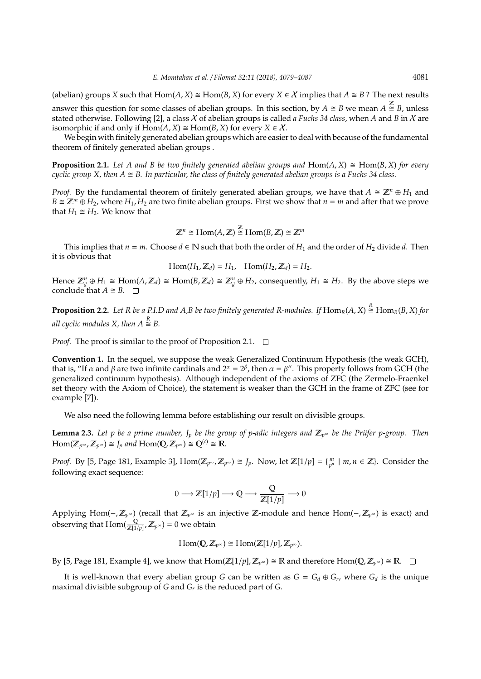(abelian) groups *X* such that  $Hom(A, X) \cong Hom(B, X)$  for every  $X \in \mathcal{X}$  implies that  $A \cong B$  ? The next results answer this question for some classes of abelian groups. In this section, by  $A \cong B$  we mean  $A \stackrel{\mathbb{Z}}{\cong} B$ , unless stated otherwise. Following [2], a class X of abelian groups is called *a Fuchs 34 class*, when *A* and *B* in X are isomorphic if and only if  $Hom(A, X) \cong Hom(B, X)$  for every  $X \in \mathcal{X}$ .

We begin with finitely generated abelian groups which are easier to deal with because of the fundamental theorem of finitely generated abelian groups .

**Proposition 2.1.** Let A and B be two finitely generated abelian groups and  $Hom(A, X) \cong Hom(B, X)$  for every *cyclic group X, then*  $A \cong B$ *. In particular, the class of finitely generated abelian groups is a Fuchs 34 class.* 

*Proof.* By the fundamental theorem of finitely generated abelian groups, we have that  $A \cong \mathbb{Z}^n \oplus H_1$  and  $B \cong \mathbb{Z}^m \oplus H_2$ , where  $H_1$ ,  $H_2$  are two finite abelian groups. First we show that  $n = m$  and after that we prove that  $H_1 \cong H_2$ . We know that

$$
\mathbb{Z}^n \cong \text{Hom}(A, \mathbb{Z}) \stackrel{\mathbb{Z}}{\cong} \text{Hom}(B, \mathbb{Z}) \cong \mathbb{Z}^m
$$

This implies that  $n = m$ . Choose  $d \in \mathbb{N}$  such that both the order of  $H_1$  and the order of  $H_2$  divide  $d$ . Then it is obvious that

$$
\operatorname{Hom}(H_1,\mathbb{Z}_d)=H_1,\quad \operatorname{Hom}(H_2,\mathbb{Z}_d)=H_2.
$$

Hence  $\mathbb{Z}_d^n \oplus H_1 \cong \text{Hom}(A, \mathbb{Z}_d) \cong \text{Hom}(B, \mathbb{Z}_d) \cong \mathbb{Z}_d^n \oplus H_2$ , consequently,  $H_1 \cong H_2$ . By the above steps we conclude that  $A \cong B$ .  $\Box$ 

**Proposition 2.2.** Let R be a P.I.D and A,B be two finitely generated R-modules. If  $\text{Hom}_R(A, X) \stackrel{R}{\cong} \text{Hom}_R(B, X)$  for all cyclic modules X, then  $A\stackrel{R}{\cong}B.$ 

*Proof.* The proof is similar to the proof of Proposition 2.1.  $\Box$ 

**Convention 1.** In the sequel, we suppose the weak Generalized Continuum Hypothesis (the weak GCH), that is, "If α and β are two infinite cardinals and  $2^\alpha = 2^\beta$ , then  $\alpha = \beta$ ". This property follows from GCH (the generalized continuum hypothesis). Although independent of the axioms of ZFC (the Zermelo-Fraenkel set theory with the Axiom of Choice), the statement is weaker than the GCH in the frame of ZFC (see for example [7]).

We also need the following lemma before establishing our result on divisible groups.

**Lemma 2.3.** Let p be a prime number,  $J_p$  be the group of p-adic integers and  $\mathbb{Z}_{p^{\infty}}$  be the Prüfer p-group. Then  $\text{Hom}(\mathbb{Z}_{p^{\infty}}, \mathbb{Z}_{p^{\infty}}) \cong J_p$  and  $\text{Hom}(\mathbb{Q}, \mathbb{Z}_{p^{\infty}}) \cong \mathbb{Q}^{(c)} \cong \mathbb{R}$ .

*Proof.* By [5, Page 181, Example 3], Hom( $\mathbb{Z}_{p^{\infty}}, \mathbb{Z}_{p^{\infty}}$ )  $\cong J_p$ . Now, let  $\mathbb{Z}[1/p] = \{\frac{m}{p^n} \mid m, n \in \mathbb{Z}\}$ . Consider the following exact sequence:

$$
0 \longrightarrow \mathbb{Z}[1/p] \longrightarrow \mathbb{Q} \longrightarrow \frac{\mathbb{Q}}{\mathbb{Z}[1/p]} \longrightarrow 0
$$

Applying Hom(−, Z*p*<sup>∞</sup> ) (recall that Z*p*<sup>∞</sup> is an injective Z-module and hence Hom(−, Z*p*<sup>∞</sup> ) is exact) and observing that  $\text{Hom}(\frac{\mathbb{Q}}{\mathbb{Z}[1/p]}, \mathbb{Z}_{p^{\infty}}) = 0$  we obtain

$$
\operatorname{Hom}(\mathbb{Q},\mathbb{Z}_{p^{\infty}})\cong \operatorname{Hom}(\mathbb{Z}[1/p],\mathbb{Z}_{p^{\infty}}).
$$

By [5, Page 181, Example 4], we know that  $\text{Hom}(\mathbb{Z}[1/p], \mathbb{Z}_{p^{\infty}}) \cong \mathbb{R}$  and therefore  $\text{Hom}(\mathbb{Q}, \mathbb{Z}_{p^{\infty}}) \cong \mathbb{R}$ .

It is well-known that every abelian group *G* can be written as  $G = G_d \oplus G_r$ , where  $G_d$  is the unique maximal divisible subgroup of *G* and *G<sup>r</sup>* is the reduced part of *G*.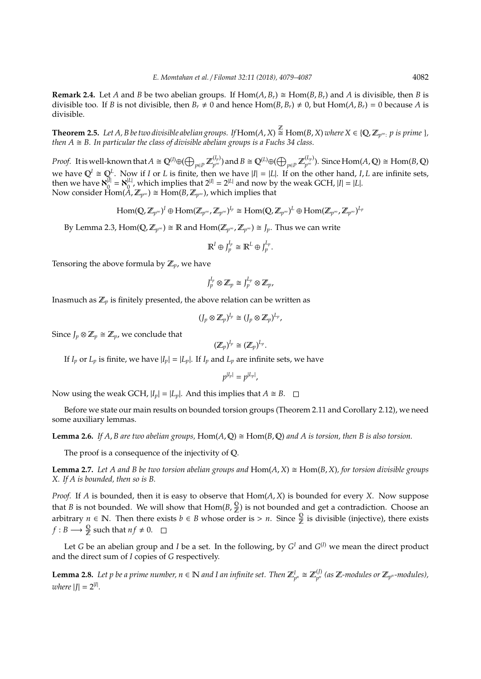**Remark 2.4.** Let *A* and *B* be two abelian groups. If  $Hom(A, B_r) \cong Hom(B, B_r)$  and *A* is divisible, then *B* is divisible too. If *B* is not divisible, then  $B_r \neq 0$  and hence Hom(*B*,  $B_r$ )  $\neq 0$ , but Hom(*A*,  $B_r$ ) = 0 because *A* is divisible.

**Theorem 2.5.** Let A, B be two divisible abelian groups. If  $Hom(A, X) \stackrel{\mathbb{Z}}{\cong} Hom(B, X)$  where  $X \in \{Q, \mathbb{Z}_{p^{\infty}} : p \text{ is prime }\}$ *then*  $A \cong B$ *. In particular the class of divisible abelian groups is a Fuchs 34 class.* 

*Proof.* It is well-known that  $A\cong \mathbb{Q}^{(l)}\oplus (\bigoplus_{p\in P}\mathbb{Z}_{p^{\infty}}^{(l_p)})$  and  $B\cong \mathbb{Q}^{(L)}\oplus (\bigoplus_{p\in P}\mathbb{Z}_{p^{\infty}}^{(L_p)})$ . Since  $\text{Hom}(A,\mathbb{Q})\cong \text{Hom}(B,\mathbb{Q})$ we have  $Q^I \cong Q^L$ . Now if *I* or *L* is finite, then we have  $|I| = |L|$ . If on the other hand, *I*, *L* are infinite sets, then we have  $\mathbf{\hat{x}}_0^{[I]}$  $\frac{|\vec{l}|}{0} = \aleph_0^{|L|}$  $\frac{|L|}{2}$ , which implies that  $2^{|I|} = 2^{|L|}$  and now by the weak GCH,  $|I| = |L|$ . Now consider  $\text{Hom}(\breve{A}, \mathbb{Z}_{p^{\infty}}) \cong \text{Hom}(B, \mathbb{Z}_{p^{\infty}})$ , which implies that

$$
\text{Hom}(\mathbb{Q},\mathbb{Z}_{p^{\infty}})^{I}\oplus \text{Hom}(\mathbb{Z}_{p^{\infty}},\mathbb{Z}_{p^{\infty}})^{I_p}\cong \text{Hom}(\mathbb{Q},\mathbb{Z}_{p^{\infty}})^{L}\oplus \text{Hom}(\mathbb{Z}_{p^{\infty}},\mathbb{Z}_{p^{\infty}})^{L_p}
$$

By Lemma 2.3, Hom( $\mathbb{Q}, \mathbb{Z}_{p^{\infty}}$ )  $\cong \mathbb{R}$  and  $\text{Hom}(\mathbb{Z}_{p^{\infty}}, \mathbb{Z}_{p^{\infty}}) \cong J_p$ . Thus we can write

$$
\mathbb{R}^I \oplus J_p^{I_p} \cong \mathbb{R}^L \oplus J_p^{L_p}.
$$

Tensoring the above formula by  $\mathbb{Z}_p$ , we have

$$
J_p^{I_p} \otimes \mathbb{Z}_p \cong J_p^{L_p} \otimes \mathbb{Z}_p,
$$

Inasmuch as  $\mathbb{Z}_p$  is finitely presented, the above relation can be written as

$$
(J_p \otimes \mathbb{Z}_p)^{I_p} \cong (J_p \otimes \mathbb{Z}_p)^{L_p},
$$

Since  $J_p \otimes \mathbb{Z}_p \cong \mathbb{Z}_p$ , we conclude that

$$
(\mathbb{Z}_p)^{I_p} \cong (\mathbb{Z}_p)^{L_p}.
$$

If  $I_p$  or  $L_p$  is finite, we have  $|I_p| = |L_p|$ . If  $I_p$  and  $L_p$  are infinite sets, we have

$$
p^{|I_p|}=p^{|L_p|},
$$

Now using the weak GCH,  $|I_p| = |L_p|$ . And this implies that  $A \cong B$ .  $\Box$ 

Before we state our main results on bounded torsion groups (Theorem 2.11 and Corollary 2.12), we need some auxiliary lemmas.

**Lemma 2.6.** *If A, B are two abelian groups,*  $Hom(A, \mathbb{Q}) \cong Hom(B, \mathbb{Q})$  *and A is torsion, then B is also torsion.* 

The proof is a consequence of the injectivity of Q.

**Lemma 2.7.** Let A and B be two torsion abelian groups and  $Hom(A, X) \cong Hom(B, X)$ , for torsion divisible groups *X. If A is bounded, then so is B.*

*Proof.* If *A* is bounded, then it is easy to observe that Hom(*A*, *X*) is bounded for every *X*. Now suppose that *B* is not bounded. We will show that Hom(*B*,  $\frac{Q}{Z}$  $\frac{\omega}{\mathbb{Z}}$ ) is not bounded and get a contradiction. Choose an arbitrary *n* ∈ N. Then there exists *b* ∈ *B* whose order is > *n*. Since  $\frac{Q}{Z}$  is divisible (injective), there exists  $f : B \longrightarrow \frac{Q}{\mathbb{Z}}$  such that  $nf \neq 0$ .

Let *G* be an abelian group and *I* be a set. In the following, by *G <sup>I</sup>* and *G* (*I*) we mean the direct product and the direct sum of *I* copies of *G* respectively.

**Lemma 2.8.** Let p be a prime number,  $n \in \mathbb{N}$  and I an infinite set. Then  $\mathbb{Z}_{p^n}^I \cong \mathbb{Z}_{p^n}^{(J)}$  $\mathbb{Z}_{p^n}^{(J)}$  (as  $\mathbb{Z}$ -modules), *where*  $|J| = 2^{|I|}$ .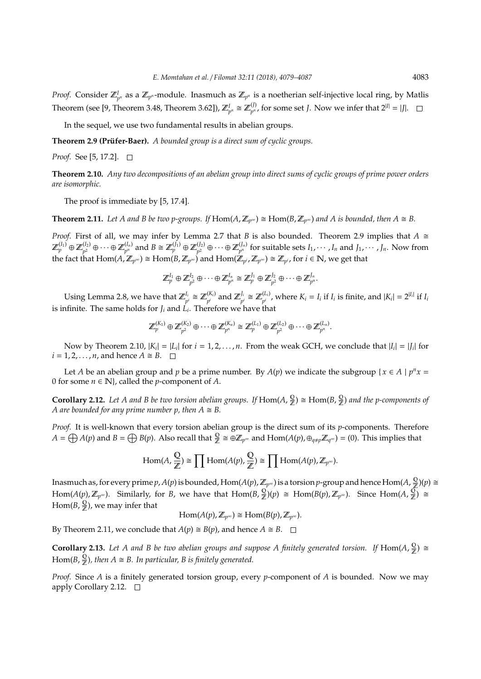*Proof.* Consider  $\mathbb{Z}_{p^n}^I$  as a  $\mathbb{Z}_{p^n}$ -module. Inasmuch as  $\mathbb{Z}_{p^n}$  is a noetherian self-injective local ring, by Matlis Theorem (see [9, Theorem 3.48, Theorem 3.62]),  $\mathbb{Z}_{p^n}^I \cong \mathbb{Z}_{p^n}^{(J)}$  $p^{(I)}_{p^n}$ , for some set *J*. Now we infer that  $2^{|I|} = |J|$ .

In the sequel, we use two fundamental results in abelian groups.

**Theorem 2.9 (Prüfer-Baer).** *A bounded group is a direct sum of cyclic groups.* 

*Proof.* See [5, 17.2]. □

**Theorem 2.10.** *Any two decompositions of an abelian group into direct sums of cyclic groups of prime power orders are isomorphic.*

The proof is immediate by [5, 17.4].

**Theorem 2.11.** Let A and B be two p-groups. If  $Hom(A, \mathbb{Z}_{p^{\infty}}) \cong Hom(B, \mathbb{Z}_{p^{\infty}})$  and A is bounded, then  $A \cong B$ .

*Proof.* First of all, we may infer by Lemma 2.7 that *B* is also bounded. Theorem 2.9 implies that  $A \cong$  $\mathbb{Z}_p^{(I_1)}\oplus\mathbb{Z}_{p^2}^{(I_2)}$  $p_1^{(I_2)} \oplus \cdots \oplus \mathbb{Z}_{p^n}^{(I_n)}$  and  $B \cong \mathbb{Z}_p^{(J_1)} \oplus \mathbb{Z}_{p^2}^{(J_2)}$  $\mathbb{Z}_{p^2}^{(J_2)}\oplus\cdots\oplus\mathbb{Z}_{p^n}^{(J_n)}$  for suitable sets  $I_1,\cdots,I_n$  and  $J_1,\cdots,J_n.$  Now from the fact that  $Hom(A, \mathbb{Z}_{p^{\infty}}) \cong Hom(B, \mathbb{Z}_{p^{\infty}})$  and  $Hom(\mathbb{Z}_{p^i}, \mathbb{Z}_{p^{\infty}}) \cong \mathbb{Z}_{p^i}$ , for  $i \in \mathbb{N}$ , we get that

$$
\mathbb{Z}_p^{I_1} \oplus \mathbb{Z}_{p^2}^{I_2} \oplus \cdots \oplus \mathbb{Z}_{p^n}^{I_n} \cong \mathbb{Z}_p^{J_1} \oplus \mathbb{Z}_{p^2}^{J_2} \oplus \cdots \oplus \mathbb{Z}_{p^n}^{J_n}.
$$

Using Lemma 2.8, we have that  $\mathbb{Z}_n^{I_i}$  $Z_{p^i}^{I_i} \cong \mathbb{Z}_{p^i}^{(K_i)}$  $\mathbb{Z}_p^{(K_i)}$  and  $\mathbb{Z}_p^{J_i}$  $p_i^{j} \cong \mathbb{Z}_{p_i^{j}}^{(L_i)}$  $\sum_{j \neq i}^{(L_i)}$ , where  $K_i = I_i$  if  $I_i$  is finite, and  $|K_i| = 2^{|I_i|}$  if  $I_i$ is infinite. The same holds for *J<sup>i</sup>* and *L<sup>i</sup>* . Therefore we have that

$$
\mathbb{Z}_p^{(K_1)} \oplus \mathbb{Z}_{p^2}^{(K_2)} \oplus \cdots \oplus \mathbb{Z}_{p^n}^{(K_n)} \cong \mathbb{Z}_p^{(L_1)} \oplus \mathbb{Z}_{p^2}^{(L_2)} \oplus \cdots \oplus \mathbb{Z}_{p^n}^{(L_n)}.
$$

Now by Theorem 2.10,  $|K_i| = |L_i|$  for  $i = 1, 2, ..., n$ . From the weak GCH, we conclude that  $|I_i| = |J_i|$  for  $i = 1, 2, \ldots, n$ , and hence  $A \cong B$ .  $\Box$ 

Let *A* be an abelian group and *p* be a prime number. By *A*(*p*) we indicate the subgroup { $x \in A \mid p^n x =$ 0 for some  $n \in \mathbb{N}$ , called the *p*-component of *A*.

**Corollary 2.12.** Let A and B be two torsion abelian groups. If  $Hom(A, \frac{Q}{Z})$  $\frac{\mathbb{Q}}{\mathbb{Z}}$ )  $\cong$  Hom(*B*,  $\frac{\mathbb{Q}}{\mathbb{Z}}$  $\frac{\omega}{\mathbb{Z}}$ ) and the p-components of *A* are bounded for any prime number p, then  $A \cong B$ .

*Proof.* It is well-known that every torsion abelian group is the direct sum of its *p*-components. Therefore *A* =  $\bigoplus A(p)$  and *B* =  $\bigoplus B(p)$ . Also recall that  $\frac{Q}{Z} \cong \oplus \mathbb{Z}_{p^{\infty}}$  and  $\text{Hom}(A(p), \oplus_{q \neq p} \mathbb{Z}_{q^{\infty}}) = (0)$ . This implies that

$$
\text{Hom}(A, \frac{\mathbb{Q}}{\mathbb{Z}}) \cong \prod \text{Hom}(A(p), \frac{\mathbb{Q}}{\mathbb{Z}}) \cong \prod \text{Hom}(A(p), \mathbb{Z}_{p^{\infty}}).
$$

Inasmuch as, for every prime  $p$ ,  $A(p)$  is bounded,  ${\rm Hom}(A(p),\mathbb{Z}_{p^{\infty}})$  is a torsion  $p$ -group and hence  ${\rm Hom}(A,\frac{\mathbb{Q}}{\mathbb{Z}})$  $\frac{\mathbb{Q}}{\mathbb{Z}}(p) \cong$ Hom( $A(p)$ ,  $\mathbb{Z}_{p^{\infty}}$ ). Similarly, for *B*, we have that Hom(*B*,  $\frac{Q}{Z}$  $\frac{Q}{Z}(p) \cong \text{Hom}(B(p), \mathbb{Z}_{p^{\infty}})$ . Since Hom(*A*,  $\frac{Q}{Z}$  $\frac{Q}{Z}$ ) ≅  $Hom(B, \frac{Q}{Z})$  $\frac{\omega}{\mathbb{Z}}$ ), we may infer that

 $Hom(A(p), \mathbb{Z}_{p^{\infty}}) \cong Hom(B(p), \mathbb{Z}_{p^{\infty}}).$ 

By Theorem 2.11, we conclude that  $A(p) \cong B(p)$ , and hence  $A \cong B$ .  $\Box$ 

**Corollary 2.13.** Let A and B be two abelian groups and suppose A finitely generated torsion. If  $Hom(A, \frac{Q}{Z})$  $\frac{Q}{Z}$ ) ≅  $Hom(B, \frac{Q}{Z})$  $\frac{\mathbb{Q}}{\mathbb{Z}}$ ), then  $A \cong B$ . In particular, B is finitely generated.

*Proof.* Since *A* is a finitely generated torsion group, every *p*-component of *A* is bounded. Now we may apply Corollary 2.12.  $\square$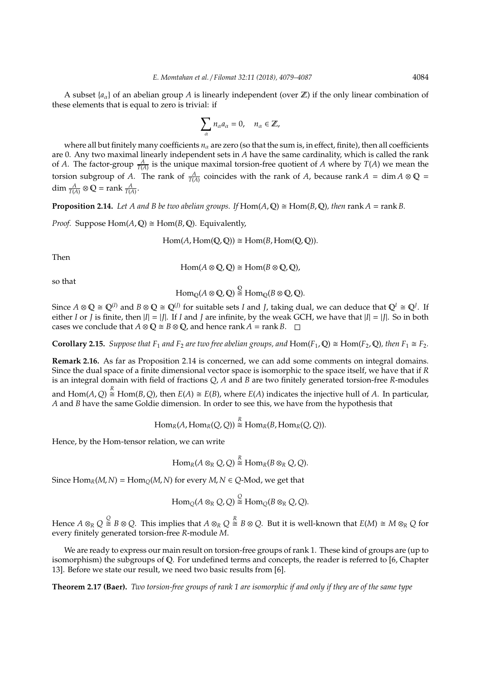A subset  ${a_{\alpha}}$  of an abelian group A is linearly independent (over  $\mathbb{Z}$ ) if the only linear combination of these elements that is equal to zero is trivial: if

$$
\sum_{\alpha} n_{\alpha} a_{\alpha} = 0, \quad n_{\alpha} \in \mathbb{Z},
$$

where all but finitely many coefficients *n*<sub>α</sub> are zero (so that the sum is, in effect, finite), then all coefficients are 0. Any two maximal linearly independent sets in *A* have the same cardinality, which is called the rank of *A*. The factor-group  $\frac{A}{T(A)}$  is the unique maximal torsion-free quotient of *A* where by  $T(A)$  we mean the torsion subgroup of *A*. The rank of  $\frac{A}{T(A)}$  coincides with the rank of *A*, because rank *A* = dim *A*  $\otimes$  Q = dim  $\frac{A}{T(A)} \otimes \mathbb{Q} = \text{rank } \frac{A}{T(A)}$ .

**Proposition 2.14.** *Let A and B be two abelian groups.* If  $Hom(A, \mathbb{Q}) \cong Hom(B, \mathbb{Q})$ *, then* rank  $A = rank B$ .

*Proof.* Suppose  $Hom(A, \mathbb{Q}) \cong Hom(B, \mathbb{Q})$ . Equivalently,

 $Hom(A, Hom(Q, Q)) \cong Hom(B, Hom(Q, Q)).$ 

Then

$$
\operatorname{Hom}(A \otimes \mathbb{Q}, \mathbb{Q}) \cong \operatorname{Hom}(B \otimes \mathbb{Q}, \mathbb{Q}),
$$

so that

$$
\text{Hom}_{\mathbb{Q}}(A \otimes \mathbb{Q}, \mathbb{Q}) \stackrel{\mathbb{Q}}{\cong} \text{Hom}_{\mathbb{Q}}(B \otimes \mathbb{Q}, \mathbb{Q}).
$$

Since  $A \otimes \mathbb{Q} \cong \mathbb{Q}^{(I)}$  and  $B \otimes \mathbb{Q} \cong \mathbb{Q}^{(J)}$  for suitable sets *I* and *J*, taking dual, we can deduce that  $\mathbb{Q}^I \cong \mathbb{Q}^J$ . If either *I* or *J* is finite, then  $|I| = |J|$ . If *I* and *J* are infinite, by the weak GCH, we have that  $|I| = |J|$ . So in both cases we conclude that  $A \otimes \mathbb{Q} \cong B \otimes \mathbb{Q}$ , and hence rank  $A = \text{rank } B$ .  $\square$ 

**Corollary 2.15.** *Suppose that*  $F_1$  *and*  $F_2$  *are two free abelian groups, and*  $Hom(F_1, \mathbb{Q}) \cong Hom(F_2, \mathbb{Q})$ *, then*  $F_1 \cong F_2$ *.* 

**Remark 2.16.** As far as Proposition 2.14 is concerned, we can add some comments on integral domains. Since the dual space of a finite dimensional vector space is isomorphic to the space itself, we have that if *R* is an integral domain with field of fractions *Q*, *A* and *B* are two finitely generated torsion-free *R*-modules and  $Hom(A, Q) \stackrel{R}{\cong} Hom(B, Q)$ , then  $E(A) \cong E(B)$ , where  $E(A)$  indicates the injective hull of *A*. In particular, *A* and *B* have the same Goldie dimension. In order to see this, we have from the hypothesis that

$$
Hom_R(A, Hom_R(Q, Q)) \stackrel{R}{\cong} Hom_R(B, Hom_R(Q, Q)).
$$

Hence, by the Hom-tensor relation, we can write

$$
\operatorname{Hom}_R(A \otimes_R Q, Q) \stackrel{R}{\cong} \operatorname{Hom}_R(B \otimes_R Q, Q).
$$

Since  $\text{Hom}_R(M, N) = \text{Hom}_Q(M, N)$  for every  $M, N \in Q$ -Mod, we get that

$$
\operatorname{Hom}_\mathbb{Q}(A \otimes_R Q, Q) \stackrel{\mathbb{Q}}{\cong} \operatorname{Hom}_\mathbb{Q}(B \otimes_R Q, Q).
$$

Hence  $A \otimes_R Q \stackrel{Q}{\cong} B \otimes Q$ . This implies that  $A \otimes_R Q \stackrel{R}{\cong} B \otimes Q$ . But it is well-known that  $E(M) \cong M \otimes_R Q$  for every finitely generated torsion-free *R*-module *M*.

We are ready to express our main result on torsion-free groups of rank 1. These kind of groups are (up to isomorphism) the subgroups of Q. For undefined terms and concepts, the reader is referred to [6, Chapter 13]. Before we state our result, we need two basic results from [6].

**Theorem 2.17 (Baer).** *Two torsion-free groups of rank 1 are isomorphic if and only if they are of the same type*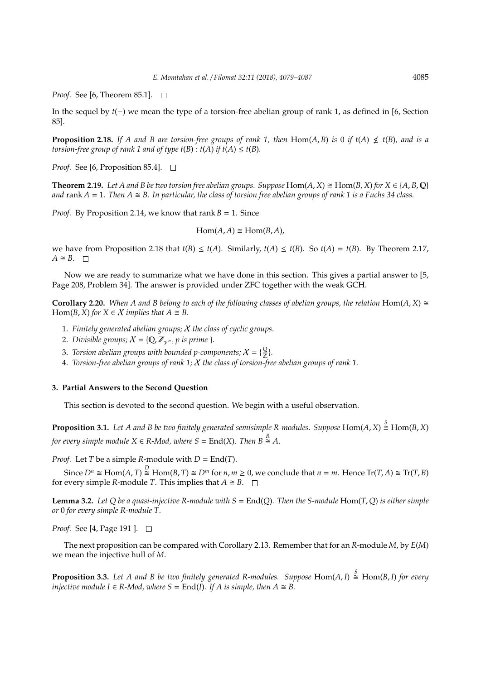*Proof.* See [6, Theorem 85.1]. □

In the sequel by *t*(−) we mean the type of a torsion-free abelian group of rank 1, as defined in [6, Section 85].

**Proposition 2.18.** If A and B are torsion-free groups of rank 1, then  $Hom(A, B)$  is 0 if  $t(A) \nleq t(B)$ , and is a *torsion-free group of rank 1 and of type*  $t(B)$  *:*  $t(A)$  *if*  $t(A) \leq t(B)$ *.* 

*Proof.* See [6, Proposition 85.4].  $\Box$ 

**Theorem 2.19.** Let A and B be two torsion free abelian groups. Suppose Hom( $A$ ,  $X$ )  $\cong$  Hom( $B$ ,  $X$ ) for  $X \in \{A, B, Q\}$ *and* rank  $A = 1$ . Then  $A \cong B$ . In particular, the class of torsion free abelian groups of rank 1 is a Fuchs 34 class.

*Proof.* By Proposition 2.14, we know that rank  $B = 1$ . Since

 $Hom(A, A) \cong Hom(B, A),$ 

we have from Proposition 2.18 that  $t(B) \le t(A)$ . Similarly,  $t(A) \le t(B)$ . So  $t(A) = t(B)$ . By Theorem 2.17,  $A \cong B$ .  $\square$ 

Now we are ready to summarize what we have done in this section. This gives a partial answer to [5, Page 208, Problem 34]. The answer is provided under ZFC together with the weak GCH.

**Corollary 2.20.** When A and B belong to each of the following classes of abelian groups, the relation  $Hom(A, X) \cong$ Hom(*B*, *X*) *for*  $X \in \mathcal{X}$  *implies that*  $A \cong B$ .

- 1. *Finitely generated abelian groups;* X *the class of cyclic groups.*
- 2. *Divisible groups;*  $X = \{Q, Z_{p^{\infty}} : p \text{ is prime}\}$ .
- 3. *Torsion abelian groups with bounded p-components;*  $\mathcal{X} = \{ \frac{\mathbb{Q}}{\mathbb{Z}} \}$ Z }*.*
- 4. *Torsion-free abelian groups of rank 1;* X *the class of torsion-free abelian groups of rank 1.*

## **3. Partial Answers to the Second Question**

This section is devoted to the second question. We begin with a useful observation.

**Proposition 3.1.** Let A and B be two finitely generated semisimple R-modules. Suppose  $Hom(A, X) \stackrel{S}{\cong} Hom(B, X)$ *for every simple module X*  $\in$  *R-Mod, where S* = End(*X*). Then B  $\stackrel{R}{\cong}$  A.

*Proof.* Let *T* be a simple *R*-module with *D* = End(*T*).

Since  $D^n \cong \text{Hom}(A, T) \stackrel{D}{\cong} \text{Hom}(B, T) \cong D^m$  for  $n, m \ge 0$ , we conclude that  $n = m$ . Hence  $\text{Tr}(T, A) \cong \text{Tr}(T, B)$ for every simple *R*-module *T*. This implies that  $A \cong B$ .  $\Box$ 

**Lemma 3.2.** Let Q be a quasi-injective R-module with  $S = \text{End}(Q)$ . Then the S-module Hom(*T*, *Q*) is either simple *or* 0 *for every simple R-module T.*

*Proof.* See [4, Page 191 ]. □

The next proposition can be compared with Corollary 2.13. Remember that for an *R*-module *M*, by *E*(*M*) we mean the injective hull of *M*.

**Proposition 3.3.** Let A and B be two finitely generated R-modules. Suppose  $Hom(A, I) \stackrel{S}{\cong} Hom(B, I)$  for every *injective module*  $I \in R$ -*Mod, where*  $S = \text{End}(I)$ *. If A is simple, then*  $A \cong B$ *.*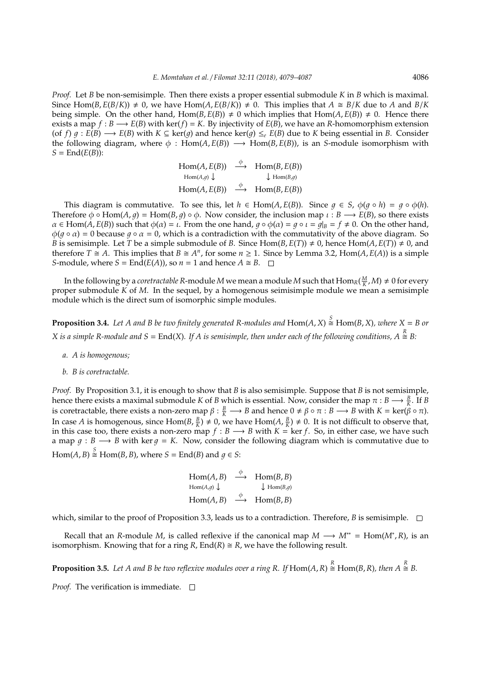*Proof.* Let *B* be non-semisimple. Then there exists a proper essential submodule *K* in *B* which is maximal. Since  $\text{Hom}(B, E(B/K)) \neq 0$ , we have  $\text{Hom}(A, E(B/K)) \neq 0$ . This implies that  $A \cong B/K$  due to A and  $B/K$ being simple. On the other hand,  $Hom(B, E(B)) \neq 0$  which implies that  $Hom(A, E(B)) \neq 0$ . Hence there exists a map  $f : B \longrightarrow E(B)$  with ker( $f$ ) = K. By injectivity of  $E(B)$ , we have an *R*-homomorphism extension (of *f*)  $q : E(B) \longrightarrow E(B)$  with  $K \subseteq \text{ker}(q)$  and hence  $\text{ker}(q) \leq_e E(B)$  due to *K* being essential in *B*. Consider the following diagram, where  $\phi$  : Hom(*A*, *E*(*B*))  $\rightarrow$  Hom(*B*, *E*(*B*)), is an *S*-module isomorphism with  $S =$  End $(E(B))$ :

> $\text{Hom}(A, E(B)) \xrightarrow{\phi} \text{Hom}(B, E(B))$ Hom(*A*,*g*) ↓ ↓ Hom(*B*,*g*)  $\text{Hom}(A, E(B)) \xrightarrow{\phi} \text{Hom}(B, E(B))$

This diagram is commutative. To see this, let  $h \in \text{Hom}(A, E(B))$ . Since  $g \in S$ ,  $\phi(g \circ h) = g \circ \phi(h)$ . Therefore  $\phi \circ \text{Hom}(A, q) = \text{Hom}(B, q) \circ \phi$ . Now consider, the inclusion map  $\iota : B \longrightarrow E(B)$ , so there exists  $\alpha \in \text{Hom}(A, E(B))$  such that  $\phi(\alpha) = \iota$ . From the one hand,  $q \circ \phi(\alpha) = q \circ \iota = q|_B = f \neq 0$ . On the other hand,  $\phi(q \circ \alpha) = 0$  because  $q \circ \alpha = 0$ , which is a contradiction with the commutativity of the above diagram. So *B* is semisimple. Let *T* be a simple submodule of *B*. Since  $Hom(B, E(T)) \neq 0$ , hence  $Hom(A, E(T)) \neq 0$ , and therefore  $T \cong A$ . This implies that  $B \cong A^n$ , for some  $n \ge 1$ . Since by Lemma 3.2, Hom( $A$ ,  $E(A)$ ) is a simple *S*-module, where *S* = End(*E*(*A*)), so *n* = 1 and hence  $A \cong B$ .  $\square$ 

In the following by a *coretractable R*-module *M* we mean a module *M* such that  $\text{Hom}_R(\frac{M}{K}, M) \neq 0$  for every proper submodule *K* of *M*. In the sequel, by a homogenous seimisimple module we mean a semisimple module which is the direct sum of isomorphic simple modules.

**Proposition 3.4.** Let A and B be two finitely generated R-modules and  $Hom(A, X) \stackrel{S}{\cong} Hom(B, X)$ , where  $X = B$  or *X* is a simple R-module and  $S = \text{End}(X)$ . If A is semisimple, then under each of the following conditions,  $A \cong B$ :

- *a. A is homogenous;*
- *b. B is coretractable.*

*Proof.* By Proposition 3.1, it is enough to show that *B* is also semisimple. Suppose that *B* is not semisimple, hence there exists a maximal submodule *K* of *B* which is essential. Now, consider the map  $\pi : B \longrightarrow \frac{B}{K}$ . If *B* is coretractable, there exists a non-zero map  $\beta : \frac{B}{K} \longrightarrow B$  and hence  $0 \neq \beta \circ \pi : B \longrightarrow B$  with  $K = \text{ker}(\beta \circ \pi)$ . In case *A* is homogenous, since Hom(*B*,  $\frac{B}{K}$ )  $\neq$  0, we have Hom(*A*,  $\frac{B}{K}$ )  $\neq$  0. It is not difficult to observe that, in this case too, there exists a non-zero map  $f : B \longrightarrow B$  with  $K = \ker f$ . So, in either case, we have such a map  $g : B \longrightarrow B$  with ker  $g = K$ . Now, consider the following diagram which is commutative due to  $\text{Hom}(A, B) \stackrel{S}{\cong} \text{Hom}(B, B)$ , where  $S = \text{End}(B)$  and  $g \in S$ :

$$
\begin{array}{ccc}\n\text{Hom}(A, B) & \stackrel{\phi}{\longrightarrow} & \text{Hom}(B, B) \\
\text{Hom}(A, g) & \downarrow & \downarrow \text{Hom}(B, g) \\
\text{Hom}(A, B) & \stackrel{\phi}{\longrightarrow} & \text{Hom}(B, B)\n\end{array}
$$

which, similar to the proof of Proposition 3.3, leads us to a contradiction. Therefore, *B* is semisimple.  $\Box$ 

Recall that an *R*-module *M*, is called reflexive if the canonical map  $M \longrightarrow M^{**} = \text{Hom}(M^*, R)$ , is an isomorphism. Knowing that for a ring *R*, End(*R*)  $\cong$  *R*, we have the following result.

**Proposition 3.5.** Let A and B be two reflexive modules over a ring R. If  $Hom(A, R) \stackrel{R}{\cong} Hom(B, R)$ , then  $A \stackrel{R}{\cong} B$ .

*Proof.* The verification is immediate.  $\square$